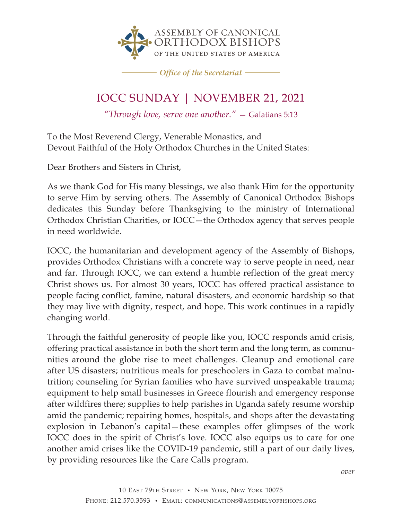

*Office of the Secretariat*

## IOCC SUNDAY | NOVEMBER 21, 2021

*"Through love, serve one another."* — Galatians 5:13

To the Most Reverend Clergy, Venerable Monastics, and Devout Faithful of the Holy Orthodox Churches in the United States:

Dear Brothers and Sisters in Christ,

As we thank God for His many blessings, we also thank Him for the opportunity to serve Him by serving others. The Assembly of Canonical Orthodox Bishops dedicates this Sunday before Thanksgiving to the ministry of International Orthodox Christian Charities, or IOCC—the Orthodox agency that serves people in need worldwide.

IOCC, the humanitarian and development agency of the Assembly of Bishops, provides Orthodox Christians with a concrete way to serve people in need, near and far. Through IOCC, we can extend a humble reflection of the great mercy Christ shows us. For almost 30 years, IOCC has offered practical assistance to people facing conflict, famine, natural disasters, and economic hardship so that they may live with dignity, respect, and hope. This work continues in a rapidly changing world.

Through the faithful generosity of people like you, IOCC responds amid crisis, offering practical assistance in both the short term and the long term, as communities around the globe rise to meet challenges. Cleanup and emotional care after US disasters; nutritious meals for preschoolers in Gaza to combat malnutrition; counseling for Syrian families who have survived unspeakable trauma; equipment to help small businesses in Greece flourish and emergency response after wildfires there; supplies to help parishes in Uganda safely resume worship amid the pandemic; repairing homes, hospitals, and shops after the devastating explosion in Lebanon's capital—these examples offer glimpses of the work IOCC does in the spirit of Christ's love. IOCC also equips us to care for one another amid crises like the COVID-19 pandemic, still a part of our daily lives, by providing resources like the Care Calls program.